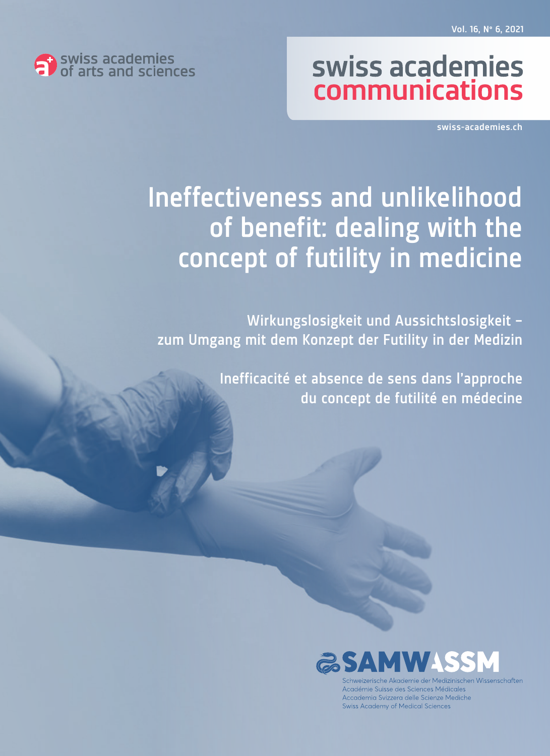

# swiss academies communications

swiss-academies.ch

# Ineffectiveness and unlikelihood of benefit: dealing with the concept of futility in medicine

Wirkungslosigkeit und Aussichtslosigkeit – zum Umgang mit dem Konzept der Futility in der Medizin

> Inefficacité et absence de sens dans l'approche du concept de futilité en médecine



che Akademie der Medizinischen Wissenschafter Académie Suisse des Sciences Médicales Accademia Svizzera delle Scienze Mediche Swiss Academy of Medical Sciences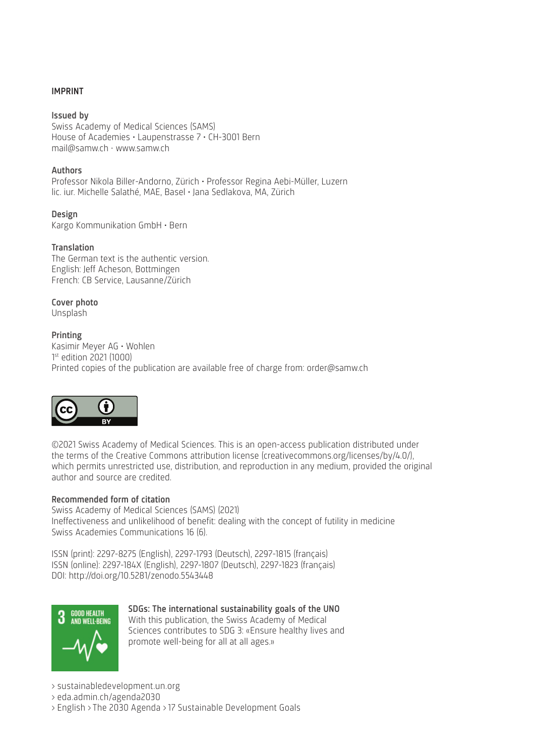#### IMPRINT

Issued by Swiss Academy of Medical Sciences (SAMS) House of Academies • Laupenstrasse 7 • CH-3001 Bern mail@samw.ch • www.samw.ch

#### Authors

Professor Nikola Biller-Andorno, Zürich • Professor Regina Aebi-Müller, Luzern lic. iur. Michelle Salathé, MAE, Basel • Jana Sedlakova, MA, Zürich

Design Kargo Kommunikation GmbH • Bern

#### Translation

The German text is the authentic version. English: Jeff Acheson, Bottmingen French: CB Service, Lausanne/Zürich

Cover photo Unsplash

#### Printing

Kasimir Meyer AG • Wohlen 1 st edition 2021 (1000) Printed copies of the publication are available free of charge from: order@samw.ch



©2021 Swiss Academy of Medical Sciences. This is an open-access publication distributed under the terms of the Creative Commons attribution license (creativecommons.org/licenses/by/4.0/), which permits unrestricted use, distribution, and reproduction in any medium, provided the original author and source are credited.

#### Recommended form of citation

Swiss Academy of Medical Sciences (SAMS) (2021) Ineffectiveness and unlikelihood of benefit: dealing with the concept of futility in medicine Swiss Academies Communications 16 (6).

ISSN (print): 2297-8275 (English), 2297-1793 (Deutsch), 2297-1815 (français) ISSN (online): 2297-184X (English), 2297-1807 (Deutsch), 2297-1823 (français) DOI: http://doi.org/10.5281/zenodo.5543448



SDGs: The international sustainability goals of the UNO With this publication, the Swiss Academy of Medical Sciences contributes to SDG 3: «Ensure healthy lives and promote well-being for all at all ages.»

> sustainabledevelopment.un.org

> eda.admin.ch/agenda2030

> English > The 2030 Agenda > 17 Sustainable Development Goals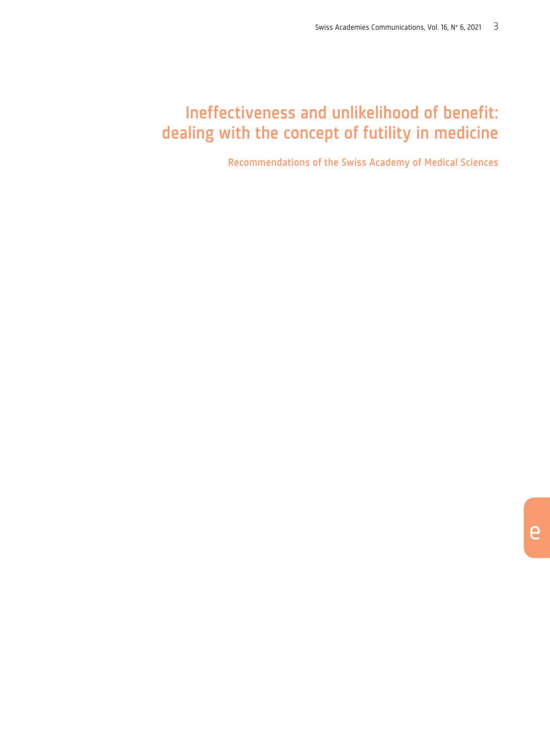## Ineffectiveness and unlikelihood of benefit: dealing with the concept of futility in medicine

Recommendations of the Swiss Academy of Medical Sciences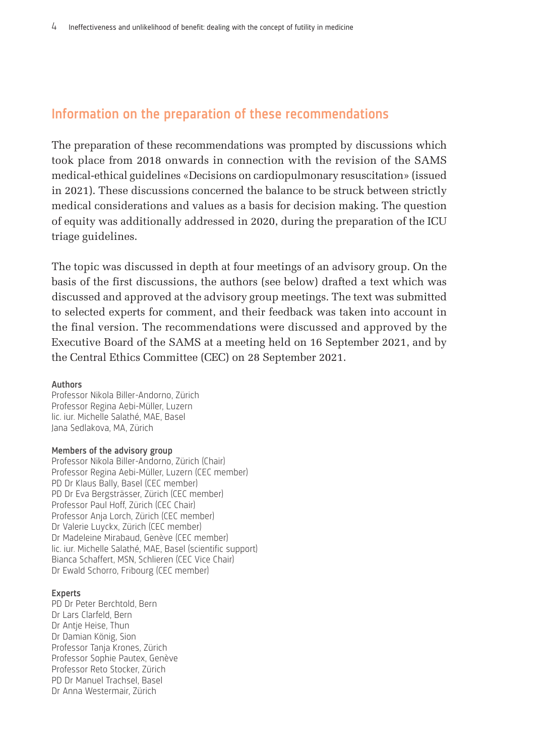### Information on the preparation of these recommendations

The preparation of these recommendations was prompted by discussions which took place from 2018 onwards in connection with the revision of the SAMS medical-ethical guidelines «Decisions on cardiopulmonary resuscitation» (issued in 2021). These discussions concerned the balance to be struck between strictly medical considerations and values as a basis for decision making. The question of equity was additionally addressed in 2020, during the preparation of the ICU triage guidelines.

The topic was discussed in depth at four meetings of an advisory group. On the basis of the first discussions, the authors (see below) drafted a text which was discussed and approved at the advisory group meetings. The text was submitted to selected experts for comment, and their feedback was taken into account in the final version. The recommendations were discussed and approved by the Executive Board of the SAMS at a meeting held on 16 September 2021, and by the Central Ethics Committee (CEC) on 28 September 2021.

#### Authors

Professor Nikola Biller-Andorno, Zürich Professor Regina Aebi-Müller, Luzern lic. iur. Michelle Salathé, MAE, Basel Jana Sedlakova, MA, Zürich

#### Members of the advisory group

Professor Nikola Biller-Andorno, Zürich (Chair) Professor Regina Aebi-Müller, Luzern (CEC member) PD Dr Klaus Bally, Basel (CEC member) PD Dr Eva Bergsträsser, Zürich (CEC member) Professor Paul Hoff, Zürich (CEC Chair) Professor Anja Lorch, Zürich (CEC member) Dr Valerie Luyckx, Zürich (CEC member) Dr Madeleine Mirabaud, Genève (CEC member) lic. iur. Michelle Salathé, MAE, Basel (scientific support) Bianca Schaffert, MSN, Schlieren (CEC Vice Chair) Dr Ewald Schorro, Fribourg (CEC member)

#### Experts

PD Dr Peter Berchtold, Bern Dr Lars Clarfeld, Bern Dr Antje Heise, Thun Dr Damian König, Sion Professor Tanja Krones, Zürich Professor Sophie Pautex, Genève Professor Reto Stocker, Zürich PD Dr Manuel Trachsel, Basel Dr Anna Westermair, Zürich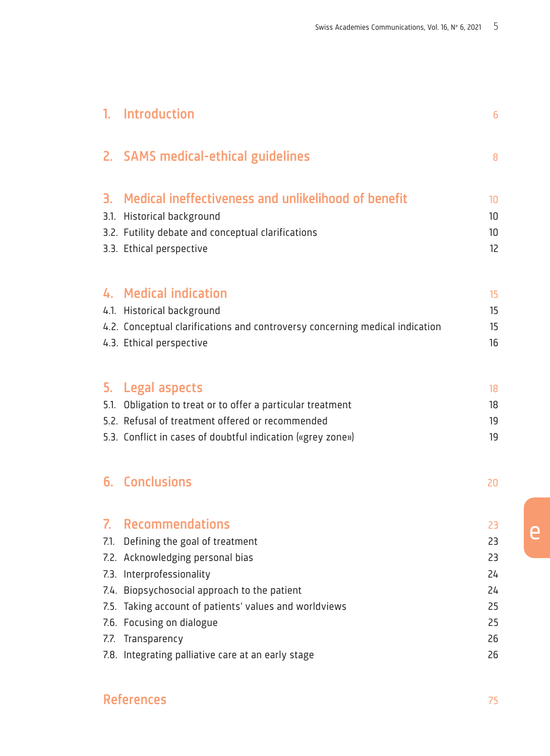| 1. | Introduction                                                                                                                                                                                                                                                                                                                              | 6                                                  |
|----|-------------------------------------------------------------------------------------------------------------------------------------------------------------------------------------------------------------------------------------------------------------------------------------------------------------------------------------------|----------------------------------------------------|
|    | 2. SAMS medical-ethical guidelines                                                                                                                                                                                                                                                                                                        | 8                                                  |
|    | 3. Medical ineffectiveness and unlikelihood of benefit<br>3.1. Historical background<br>3.2. Futility debate and conceptual clarifications<br>3.3. Ethical perspective                                                                                                                                                                    | 10<br>10<br>10<br>12                               |
|    | 4. Medical indication<br>4.1. Historical background<br>4.2. Conceptual clarifications and controversy concerning medical indication<br>4.3. Ethical perspective                                                                                                                                                                           | 15<br>15<br>15<br>16                               |
|    | 5. Legal aspects<br>5.1. Obligation to treat or to offer a particular treatment<br>5.2. Refusal of treatment offered or recommended<br>5.3. Conflict in cases of doubtful indication («grey zone»)                                                                                                                                        | 18<br>18<br>19<br>19                               |
|    | 6. Conclusions                                                                                                                                                                                                                                                                                                                            | 20                                                 |
| 7. | Recommendations<br>7.1. Defining the goal of treatment<br>7.2. Acknowledging personal bias<br>7.3. Interprofessionality<br>7.4. Biopsychosocial approach to the patient<br>7.5. Taking account of patients' values and worldviews<br>7.6. Focusing on dialogue<br>7.7. Transparency<br>7.8. Integrating palliative care at an early stage | 23<br>23<br>23<br>24<br>24<br>25<br>25<br>26<br>26 |

## **References** 75

e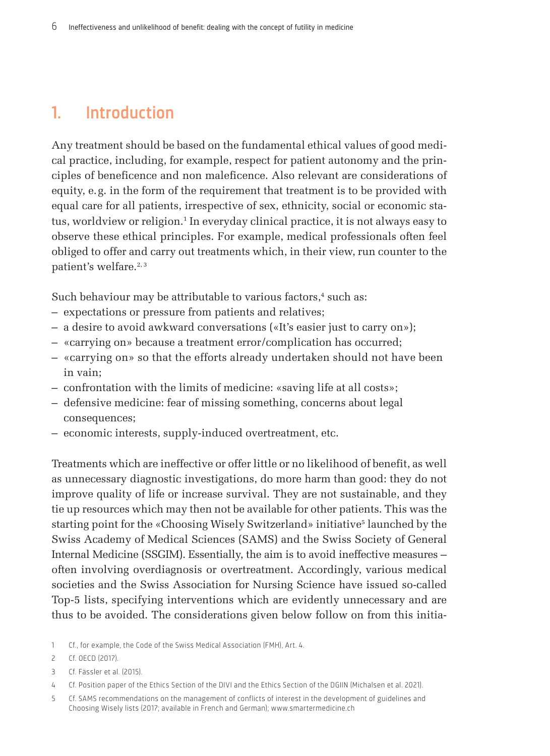## <span id="page-5-0"></span>1. Introduction

Any treatment should be based on the fundamental ethical values of good medical practice, including, for example, respect for patient autonomy and the principles of beneficence and non maleficence. Also relevant are considerations of equity, e.g. in the form of the requirement that treatment is to be provided with equal care for all patients, irrespective of sex, ethnicity, social or economic status, worldview or religion.1 In everyday clinical practice, it is not always easy to observe these ethical principles. For example, medical professionals often feel obliged to offer and carry out treatments which, in their view, run counter to the patient's welfare.<sup>2, 3</sup>

Such behaviour may be attributable to various factors,<sup>4</sup> such as:

- expectations or pressure from patients and relatives;
- a desire to avoid awkward conversations («It's easier just to carry on»);
- «carrying on» because a treatment error/complication has occurred;
- «carrying on» so that the efforts already undertaken should not have been in vain;
- confrontation with the limits of medicine: «saving life at all costs»;
- defensive medicine: fear of missing something, concerns about legal consequences;
- economic interests, supply-induced overtreatment, etc.

Treatments which are ineffective or offer little or no likelihood of benefit, as well as unnecessary diagnostic investigations, do more harm than good: they do not improve quality of life or increase survival. They are not sustainable, and they tie up resources which may then not be available for other patients. This was the starting point for the «Choosing Wisely Switzerland» initiative<sup>5</sup> launched by the Swiss Academy of Medical Sciences (SAMS) and the Swiss Society of General Internal Medicine (SSGIM). Essentially, the aim is to avoid ineffective measures – often involving overdiagnosis or overtreatment. Accordingly, various medical societies and the Swiss Association for Nursing Science have issued so-called Top-5 lists, specifying interventions which are evidently unnecessary and are thus to be avoided. The considerations given below follow on from this initia-

- 1 Cf., for example, the Code of the Swiss Medical Association (FMH), Art. 4.
- 2 Cf. OECD (2017).
- 3 Cf. Fässler et al. (2015).
- 4 Cf. Position paper of the Ethics Section of the DIVI and the Ethics Section of the DGIIN (Michalsen et al. 2021).
- 5 Cf. SAMS recommendations on the management of conflicts of interest in the development of guidelines and Choosing Wisely lists (2017; available in French and German); [www.smartermedicine.ch](http://www.smartermedicine.ch/de/meta/uebersmarter-
medicine/traegerverein.html)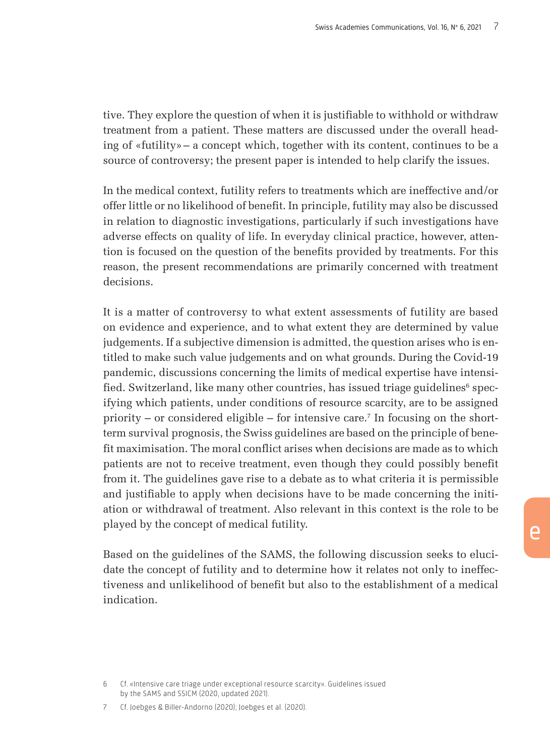tive. They explore the question of when it is justifiable to withhold or withdraw treatment from a patient. These matters are discussed under the overall heading of «futility»– a concept which, together with its content, continues to be a source of controversy; the present paper is intended to help clarify the issues.

In the medical context, futility refers to treatments which are ineffective and/or offer little or no likelihood of benefit. In principle, futility may also be discussed in relation to diagnostic investigations, particularly if such investigations have adverse effects on quality of life. In everyday clinical practice, however, attention is focused on the question of the benefits provided by treatments. For this reason, the present recommendations are primarily concerned with treatment decisions.

It is a matter of controversy to what extent assessments of futility are based on evidence and experience, and to what extent they are determined by value judgements. If a subjective dimension is admitted, the question arises who is entitled to make such value judgements and on what grounds. During the Covid-19 pandemic, discussions concerning the limits of medical expertise have intensified. Switzerland, like many other countries, has issued triage guidelines $^6$  specifying which patients, under conditions of resource scarcity, are to be assigned priority – or considered eligible – for intensive care.7 In focusing on the shortterm survival prognosis, the Swiss guidelines are based on the principle of benefit maximisation. The moral conflict arises when decisions are made as to which patients are not to receive treatment, even though they could possibly benefit from it. The guidelines gave rise to a debate as to what criteria it is permissible and justifiable to apply when decisions have to be made concerning the initiation or withdrawal of treatment. Also relevant in this context is the role to be played by the concept of medical futility.

Based on the guidelines of the SAMS, the following discussion seeks to elucidate the concept of futility and to determine how it relates not only to ineffectiveness and unlikelihood of benefit but also to the establishment of a medical indication.

6 Cf. «Intensive care triage under exceptional resource scarcity». Guidelines issued by the SAMS and SSICM (2020, updated 2021).

7 Cf. Joebges & Biller-Andorno (2020); Joebges et al. (2020).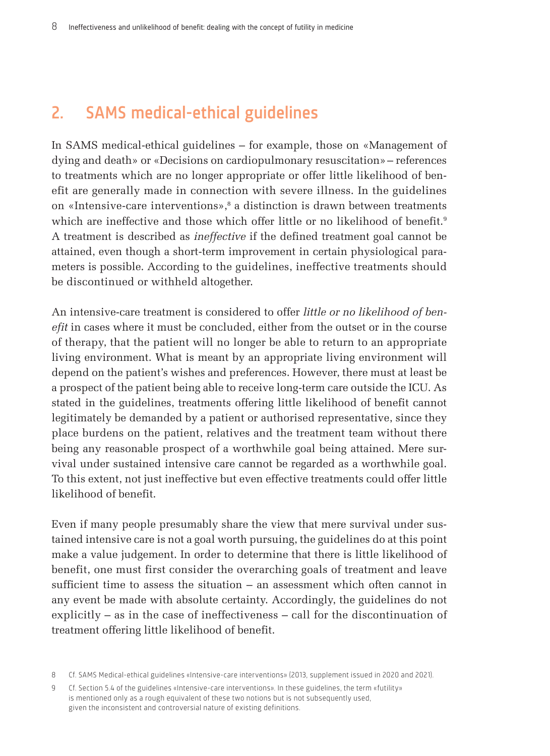## <span id="page-7-0"></span>2. SAMS medical-ethical guidelines

In SAMS medical-ethical guidelines – for example, those on «Management of dying and death» or «Decisions on cardiopulmonary resuscitation»– references to treatments which are no longer appropriate or offer little likelihood of benefit are generally made in connection with severe illness. In the guidelines on «Intensive-care interventions»,<sup>8</sup> a distinction is drawn between treatments which are ineffective and those which offer little or no likelihood of benefit.<sup>9</sup> A treatment is described as *ineffective* if the defined treatment goal cannot be attained, even though a short-term improvement in certain physiological parameters is possible. According to the guidelines, ineffective treatments should be discontinued or withheld altogether.

An intensive-care treatment is considered to offer *little or no likelihood of benefit* in cases where it must be concluded, either from the outset or in the course of therapy, that the patient will no longer be able to return to an appropriate living environment. What is meant by an appropriate living environment will depend on the patient's wishes and preferences. However, there must at least be a prospect of the patient being able to receive long-term care outside the ICU. As stated in the guidelines, treatments offering little likelihood of benefit cannot legitimately be demanded by a patient or authorised representative, since they place burdens on the patient, relatives and the treatment team without there being any reasonable prospect of a worthwhile goal being attained. Mere survival under sustained intensive care cannot be regarded as a worthwhile goal. To this extent, not just ineffective but even effective treatments could offer little likelihood of benefit.

Even if many people presumably share the view that mere survival under sustained intensive care is not a goal worth pursuing, the guidelines do at this point make a value judgement. In order to determine that there is little likelihood of benefit, one must first consider the overarching goals of treatment and leave sufficient time to assess the situation – an assessment which often cannot in any event be made with absolute certainty. Accordingly, the guidelines do not explicitly – as in the case of ineffectiveness – call for the discontinuation of treatment offering little likelihood of benefit.

<sup>8</sup> Cf. SAMS Medical-ethical guidelines «Intensive-care interventions» (2013, supplement issued in 2020 and 2021).

<sup>9</sup> Cf. Section 5.4 of the guidelines «Intensive-care interventions». In these guidelines, the term «futility» is mentioned only as a rough equivalent of these two notions but is not subsequently used, given the inconsistent and controversial nature of existing definitions.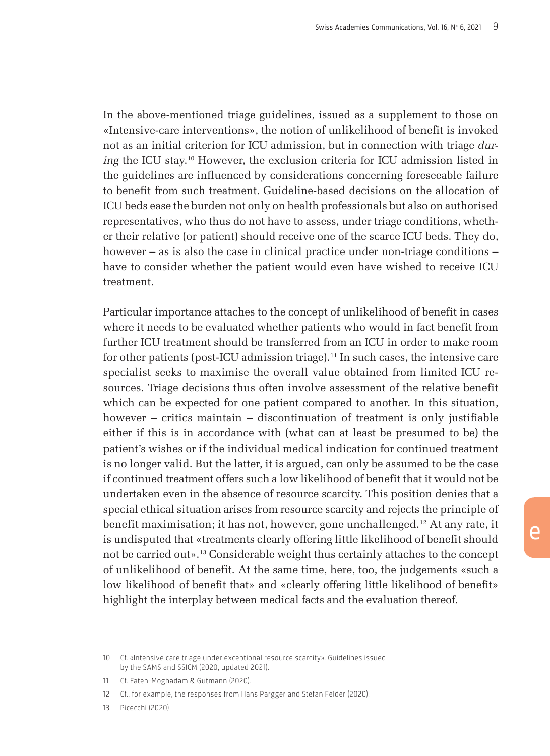In the above-mentioned triage guidelines, issued as a supplement to those on «Intensive-care interventions», the notion of unlikelihood of benefit is invoked not as an initial criterion for ICU admission, but in connection with triage *during* the ICU stay.10 However, the exclusion criteria for ICU admission listed in the guidelines are influenced by considerations concerning foreseeable failure to benefit from such treatment. Guideline-based decisions on the allocation of ICU beds ease the burden not only on health professionals but also on authorised representatives, who thus do not have to assess, under triage conditions, whether their relative (or patient) should receive one of the scarce ICU beds. They do, however – as is also the case in clinical practice under non-triage conditions – have to consider whether the patient would even have wished to receive ICU treatment.

Particular importance attaches to the concept of unlikelihood of benefit in cases where it needs to be evaluated whether patients who would in fact benefit from further ICU treatment should be transferred from an ICU in order to make room for other patients (post-ICU admission triage).11 In such cases, the intensive care specialist seeks to maximise the overall value obtained from limited ICU resources. Triage decisions thus often involve assessment of the relative benefit which can be expected for one patient compared to another. In this situation, however – critics maintain – discontinuation of treatment is only justifiable either if this is in accordance with (what can at least be presumed to be) the patient's wishes or if the individual medical indication for continued treatment is no longer valid. But the latter, it is argued, can only be assumed to be the case if continued treatment offers such a low likelihood of benefit that it would not be undertaken even in the absence of resource scarcity. This position denies that a special ethical situation arises from resource scarcity and rejects the principle of benefit maximisation; it has not, however, gone unchallenged.12 At any rate, it is undisputed that «treatments clearly offering little likelihood of benefit should not be carried out».13 Considerable weight thus certainly attaches to the concept of unlikelihood of benefit. At the same time, here, too, the judgements «such a low likelihood of benefit that» and «clearly offering little likelihood of benefit» highlight the interplay between medical facts and the evaluation thereof.

<sup>10</sup> Cf. «Intensive care triage under exceptional resource scarcity». Guidelines issued by the SAMS and SSICM (2020, updated 2021).

<sup>11</sup> Cf. Fateh-Moghadam & Gutmann (2020).

<sup>12</sup> Cf., for example, the responses from Hans Pargger and Stefan Felder (2020).

<sup>13</sup> Picecchi (2020).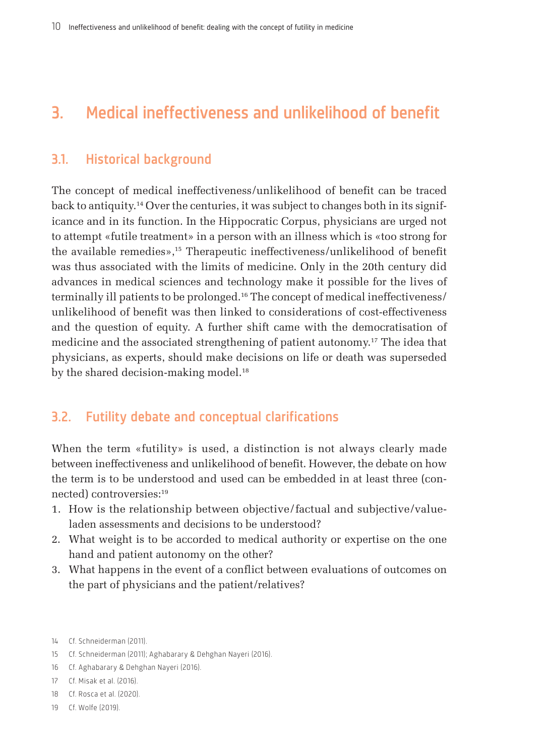## <span id="page-9-0"></span>3. Medical ineffectiveness and unlikelihood of benefit

### 3.1. Historical background

The concept of medical ineffectiveness/unlikelihood of benefit can be traced back to antiquity.14 Over the centuries, it was subject to changes both in its significance and in its function. In the Hippocratic Corpus, physicians are urged not to attempt «futile treatment» in a person with an illness which is «too strong for the available remedies»,15 Therapeutic ineffectiveness/unlikelihood of benefit was thus associated with the limits of medicine. Only in the 20th century did advances in medical sciences and technology make it possible for the lives of terminally ill patients to be prolonged.16 The concept of medical ineffectiveness/ unlikelihood of benefit was then linked to considerations of cost-effectiveness and the question of equity. A further shift came with the democratisation of medicine and the associated strengthening of patient autonomy.17 The idea that physicians, as experts, should make decisions on life or death was superseded by the shared decision-making model.<sup>18</sup>

### 3.2. Futility debate and conceptual clarifications

When the term «futility» is used, a distinction is not always clearly made between ineffectiveness and unlikelihood of benefit. However, the debate on how the term is to be understood and used can be embedded in at least three (connected) controversies:19

- 1. How is the relationship between objective/factual and subjective/valueladen assessments and decisions to be understood?
- 2. What weight is to be accorded to medical authority or expertise on the one hand and patient autonomy on the other?
- 3. What happens in the event of a conflict between evaluations of outcomes on the part of physicians and the patient/relatives?

- 15 Cf. Schneiderman (2011); Aghabarary & Dehghan Nayeri (2016).
- 16 Cf. Aghabarary & Dehghan Nayeri (2016).
- 17 Cf. Misak et al. (2016).
- 18 Cf. Rosca et al. (2020).
- 19 Cf. Wolfe (2019).

<sup>14</sup> Cf. Schneiderman (2011).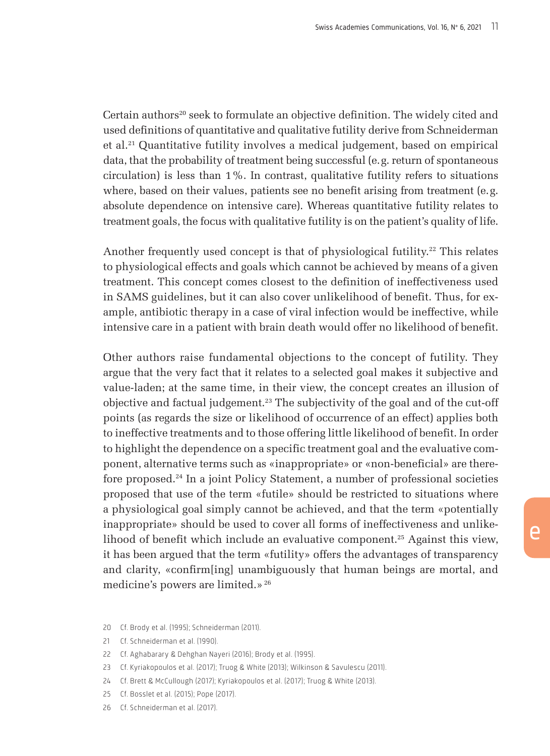Certain authors<sup>20</sup> seek to formulate an objective definition. The widely cited and used definitions of quantitative and qualitative futility derive from Schneiderman et al.21 Quantitative futility involves a medical judgement, based on empirical data, that the probability of treatment being successful (e.g. return of spontaneous circulation) is less than 1%. In contrast, qualitative futility refers to situations where, based on their values, patients see no benefit arising from treatment (e.g. absolute dependence on intensive care). Whereas quantitative futility relates to treatment goals, the focus with qualitative futility is on the patient's quality of life.

Another frequently used concept is that of physiological futility.<sup>22</sup> This relates to physiological effects and goals which cannot be achieved by means of a given treatment. This concept comes closest to the definition of ineffectiveness used in SAMS guidelines, but it can also cover unlikelihood of benefit. Thus, for example, antibiotic therapy in a case of viral infection would be ineffective, while intensive care in a patient with brain death would offer no likelihood of benefit.

Other authors raise fundamental objections to the concept of futility. They argue that the very fact that it relates to a selected goal makes it subjective and value-laden; at the same time, in their view, the concept creates an illusion of objective and factual judgement.23 The subjectivity of the goal and of the cut-off points (as regards the size or likelihood of occurrence of an effect) applies both to ineffective treatments and to those offering little likelihood of benefit. In order to highlight the dependence on a specific treatment goal and the evaluative component, alternative terms such as «inappropriate» or «non-beneficial» are therefore proposed.24 In a joint Policy Statement, a number of professional societies proposed that use of the term «futile» should be restricted to situations where a physiological goal simply cannot be achieved, and that the term «potentially inappropriate» should be used to cover all forms of ineffectiveness and unlikelihood of benefit which include an evaluative component.25 Against this view, it has been argued that the term «futility» offers the advantages of transparency and clarity, «confirm[ing] unambiguously that human beings are mortal, and medicine's powers are limited.»<sup>26</sup>

- 20 Cf. Brody et al. (1995); Schneiderman (2011).
- 21 Cf. Schneiderman et al. (1990).
- 22 Cf. Aghabarary & Dehghan Nayeri (2016); Brody et al. (1995).
- 23 Cf. Kyriakopoulos et al. (2017); Truog & White (2013); Wilkinson & Savulescu (2011).
- 24 Cf. Brett & McCullough (2017); Kyriakopoulos et al. (2017); Truog & White (2013).
- 25 Cf. Bosslet et al. (2015); Pope (2017).
- 26 Cf. Schneiderman et al. (2017).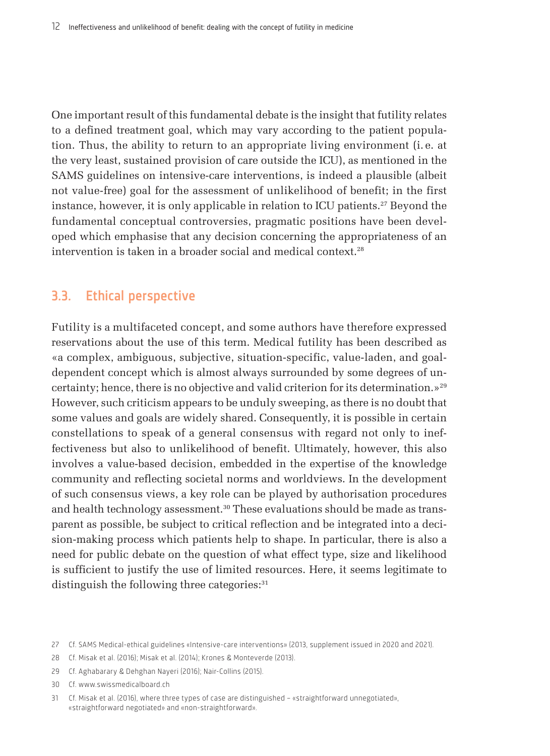One important result of this fundamental debate is the insight that futility relates to a defined treatment goal, which may vary according to the patient population. Thus, the ability to return to an appropriate living environment (i. e. at the very least, sustained provision of care outside the ICU), as mentioned in the SAMS guidelines on intensive-care interventions, is indeed a plausible (albeit not value-free) goal for the assessment of unlikelihood of benefit; in the first instance, however, it is only applicable in relation to ICU patients.<sup>27</sup> Beyond the fundamental conceptual controversies, pragmatic positions have been developed which emphasise that any decision concerning the appropriateness of an intervention is taken in a broader social and medical context.<sup>28</sup>

### 3.3. Ethical perspective

Futility is a multifaceted concept, and some authors have therefore expressed reservations about the use of this term. Medical futility has been described as «a complex, ambiguous, subjective, situation-specific, value-laden, and goaldependent concept which is almost always surrounded by some degrees of uncertainty; hence, there is no objective and valid criterion for its determination.»29 However, such criticism appears to be unduly sweeping, as there is no doubt that some values and goals are widely shared. Consequently, it is possible in certain constellations to speak of a general consensus with regard not only to ineffectiveness but also to unlikelihood of benefit. Ultimately, however, this also involves a value-based decision, embedded in the expertise of the knowledge community and reflecting societal norms and worldviews. In the development of such consensus views, a key role can be played by authorisation procedures and health technology assessment.30 These evaluations should be made as transparent as possible, be subject to critical reflection and be integrated into a decision-making process which patients help to shape. In particular, there is also a need for public debate on the question of what effect type, size and likelihood is sufficient to justify the use of limited resources. Here, it seems legitimate to distinguish the following three categories:<sup>31</sup>

28 Cf. Misak et al. (2016); Misak et al. (2014); Krones & Monteverde (2013).

29 Cf. Aghabarary & Dehghan Nayeri (2016); Nair-Collins (2015).

30 Cf. www.swissmedicalboard.ch

31 Cf. Misak et al. (2016), where three types of case are distinguished – «straightforward unnegotiated», «straightforward negotiated» and «non-straightforward».

<sup>27</sup> Cf. SAMS Medical-ethical guidelines «Intensive-care interventions» (2013, supplement issued in 2020 and 2021).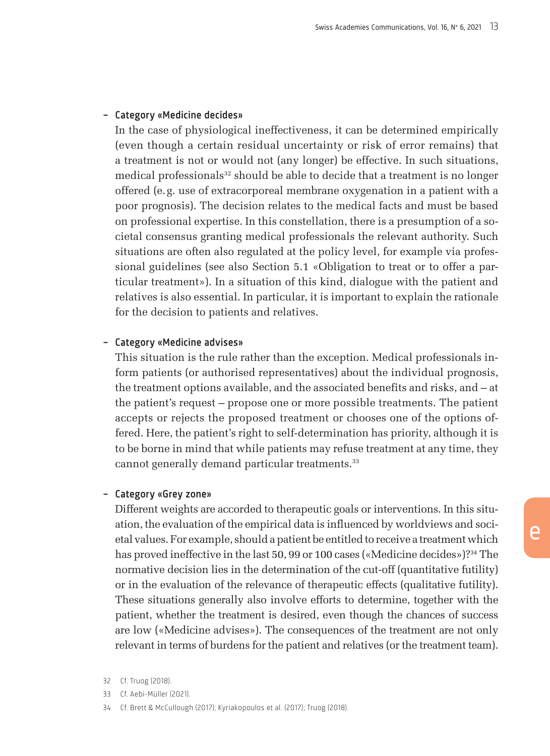#### – Category «Medicine decides»

In the case of physiological ineffectiveness, it can be determined empirically (even though a certain residual uncertainty or risk of error remains) that a treatment is not or would not (any longer) be effective. In such situations, medical professionals<sup>32</sup> should be able to decide that a treatment is no longer offered (e.g. use of extracorporeal membrane oxygenation in a patient with a poor prognosis). The decision relates to the medical facts and must be based on professional expertise. In this constellation, there is a presumption of a societal consensus granting medical professionals the relevant authority. Such situations are often also regulated at the policy level, for example via professional guidelines (see also Section 5.1 «Obligation to treat or to offer a particular treatment»). In a situation of this kind, dialogue with the patient and relatives is also essential. In particular, it is important to explain the rationale for the decision to patients and relatives.

#### – Category «Medicine advises»

This situation is the rule rather than the exception. Medical professionals inform patients (or authorised representatives) about the individual prognosis, the treatment options available, and the associated benefits and risks, and – at the patient's request – propose one or more possible treatments. The patient accepts or rejects the proposed treatment or chooses one of the options offered. Here, the patient's right to self-determination has priority, although it is to be borne in mind that while patients may refuse treatment at any time, they cannot generally demand particular treatments.<sup>33</sup>

#### – Category «Grey zone»

Different weights are accorded to therapeutic goals or interventions. In this situation, the evaluation of the empirical data is influenced by worldviews and societal values. For example, should a patient be entitled to receive a treatment which has proved ineffective in the last 50, 99 or 100 cases («Medicine decides»)?<sup>34</sup> The normative decision lies in the determination of the cut-off (quantitative futility) or in the evaluation of the relevance of therapeutic effects (qualitative futility). These situations generally also involve efforts to determine, together with the patient, whether the treatment is desired, even though the chances of success are low («Medicine advises»). The consequences of the treatment are not only relevant in terms of burdens for the patient and relatives (or the treatment team).

- 33 Cf. Aebi-Müller (2021).
- 34 Cf. Brett & McCullough (2017); Kyriakopoulos et al. (2017); Truog (2018).

<sup>32</sup> Cf. Truog (2018).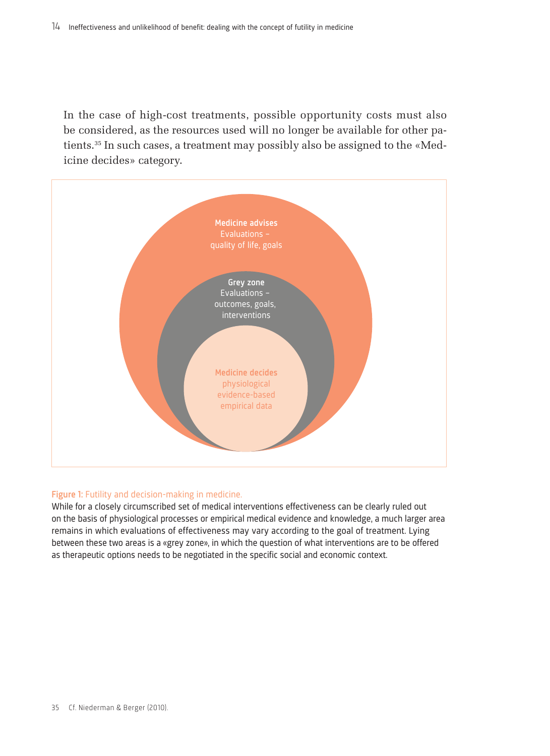In the case of high-cost treatments, possible opportunity costs must also be considered, as the resources used will no longer be available for other patients.35 In such cases, a treatment may possibly also be assigned to the «Medicine decides» category.



#### Figure 1: Futility and decision-making in medicine.

While for a closely circumscribed set of medical interventions effectiveness can be clearly ruled out on the basis of physiological processes or empirical medical evidence and knowledge, a much larger area remains in which evaluations of effectiveness may vary according to the goal of treatment. Lying between these two areas is a «grey zone», in which the question of what interventions are to be offered as therapeutic options needs to be negotiated in the specific social and economic context.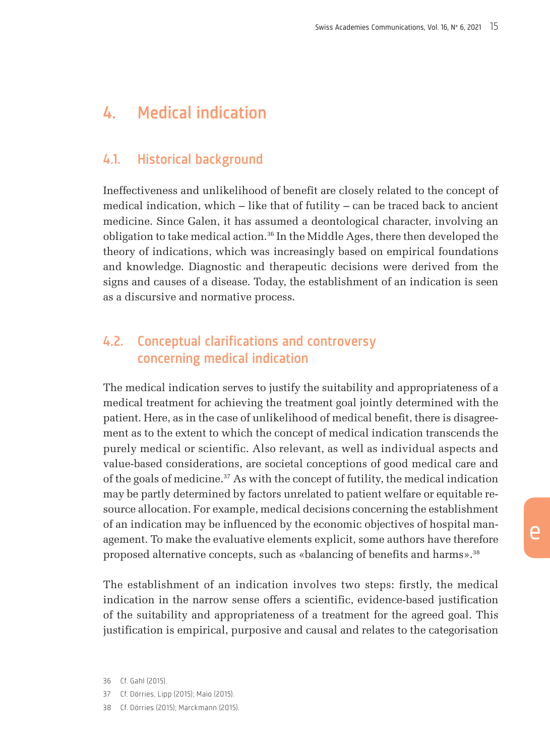## <span id="page-14-0"></span>4. Medical indication

### 4.1. Historical background

Ineffectiveness and unlikelihood of benefit are closely related to the concept of medical indication, which – like that of futility – can be traced back to ancient medicine. Since Galen, it has assumed a deontological character, involving an obligation to take medical action.36 In the Middle Ages, there then developed the theory of indications, which was increasingly based on empirical foundations and knowledge. Diagnostic and therapeutic decisions were derived from the signs and causes of a disease. Today, the establishment of an indication is seen as a discursive and normative process.

## 4.2. Conceptual clarifications and controversy concerning medical indication

The medical indication serves to justify the suitability and appropriateness of a medical treatment for achieving the treatment goal jointly determined with the patient. Here, as in the case of unlikelihood of medical benefit, there is disagreement as to the extent to which the concept of medical indication transcends the purely medical or scientific. Also relevant, as well as individual aspects and value-based considerations, are societal conceptions of good medical care and of the goals of medicine.37 As with the concept of futility, the medical indication may be partly determined by factors unrelated to patient welfare or equitable resource allocation. For example, medical decisions concerning the establishment of an indication may be influenced by the economic objectives of hospital management. To make the evaluative elements explicit, some authors have therefore proposed alternative concepts, such as «balancing of benefits and harms».38

The establishment of an indication involves two steps: firstly, the medical indication in the narrow sense offers a scientific, evidence-based justification of the suitability and appropriateness of a treatment for the agreed goal. This justification is empirical, purposive and causal and relates to the categorisation

37 Cf. Dörries, Lipp (2015); Maio (2015).

<sup>36</sup> Cf. Gahl (2015).

<sup>38</sup> Cf. Dörries (2015); Marckmann (2015).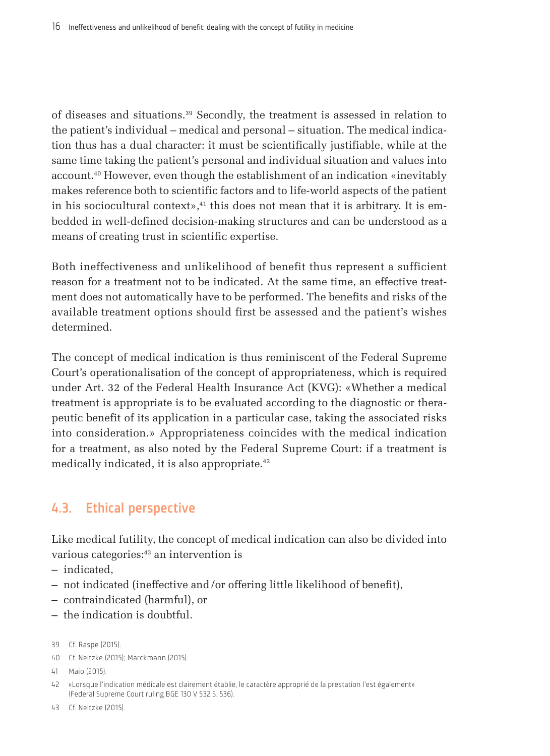of diseases and situations.39 Secondly, the treatment is assessed in relation to the patient's individual – medical and personal – situation. The medical indication thus has a dual character: it must be scientifically justifiable, while at the same time taking the patient's personal and individual situation and values into account.40 However, even though the establishment of an indication «inevitably makes reference both to scientific factors and to life-world aspects of the patient in his sociocultural context», $41$  this does not mean that it is arbitrary. It is embedded in well-defined decision-making structures and can be understood as a means of creating trust in scientific expertise.

Both ineffectiveness and unlikelihood of benefit thus represent a sufficient reason for a treatment not to be indicated. At the same time, an effective treatment does not automatically have to be performed. The benefits and risks of the available treatment options should first be assessed and the patient's wishes determined.

The concept of medical indication is thus reminiscent of the Federal Supreme Court's operationalisation of the concept of appropriateness, which is required under Art. 32 of the Federal Health Insurance Act (KVG): «Whether a medical treatment is appropriate is to be evaluated according to the diagnostic or therapeutic benefit of its application in a particular case, taking the associated risks into consideration.» Appropriateness coincides with the medical indication for a treatment, as also noted by the Federal Supreme Court: if a treatment is medically indicated, it is also appropriate.<sup>42</sup>

## 4.3. Ethical perspective

Like medical futility, the concept of medical indication can also be divided into various categories:43 an intervention is

- indicated,
- not indicated (ineffective and/or offering little likelihood of benefit),
- contraindicated (harmful), or
- the indication is doubtful.
- 39 Cf. Raspe (2015).
- 40 Cf. Neitzke (2015); Marckmann (2015).
- 41 Maio (2015).
- 42 «Lorsque l'indication médicale est clairement établie, le caractère approprié de la prestation l'est également» (Federal Supreme Court ruling BGE 130 V 532 S. 536).
- 43 Cf. Neitzke (2015).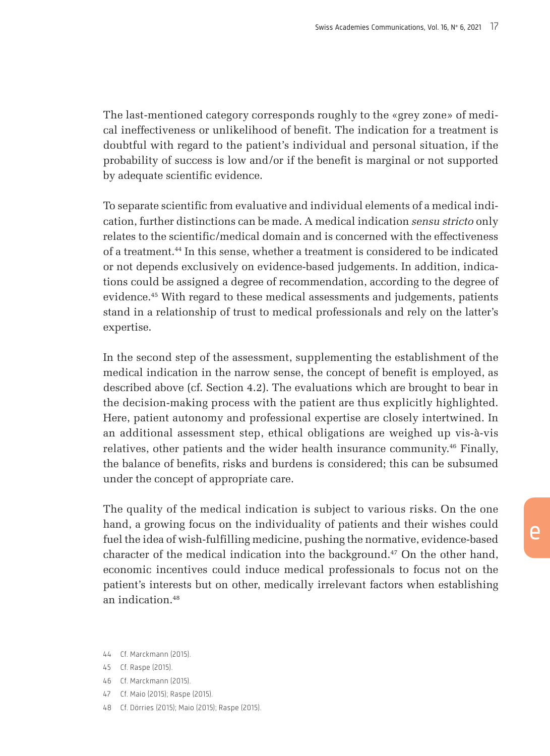The last-mentioned category corresponds roughly to the «grey zone» of medical ineffectiveness or unlikelihood of benefit. The indication for a treatment is doubtful with regard to the patient's individual and personal situation, if the probability of success is low and/or if the benefit is marginal or not supported by adequate scientific evidence.

To separate scientific from evaluative and individual elements of a medical indication, further distinctions can be made. A medical indication *sensu stricto* only relates to the scientific/medical domain and is concerned with the effectiveness of a treatment.44 In this sense, whether a treatment is considered to be indicated or not depends exclusively on evidence-based judgements. In addition, indications could be assigned a degree of recommendation, according to the degree of evidence.45 With regard to these medical assessments and judgements, patients stand in a relationship of trust to medical professionals and rely on the latter's expertise.

In the second step of the assessment, supplementing the establishment of the medical indication in the narrow sense, the concept of benefit is employed, as described above (cf. Section 4.2). The evaluations which are brought to bear in the decision-making process with the patient are thus explicitly highlighted. Here, patient autonomy and professional expertise are closely intertwined. In an additional assessment step, ethical obligations are weighed up vis-à-vis relatives, other patients and the wider health insurance community.46 Finally, the balance of benefits, risks and burdens is considered; this can be subsumed under the concept of appropriate care.

The quality of the medical indication is subject to various risks. On the one hand, a growing focus on the individuality of patients and their wishes could fuel the idea of wish-fulfilling medicine, pushing the normative, evidence-based character of the medical indication into the background.47 On the other hand, economic incentives could induce medical professionals to focus not on the patient's interests but on other, medically irrelevant factors when establishing an indication<sup>48</sup>

- 44 Cf. Marckmann (2015).
- 45 Cf. Raspe (2015).
- 46 Cf. Marckmann (2015).
- 47 Cf. Maio (2015); Raspe (2015).
- 48 Cf. Dörries (2015); Maio (2015); Raspe (2015).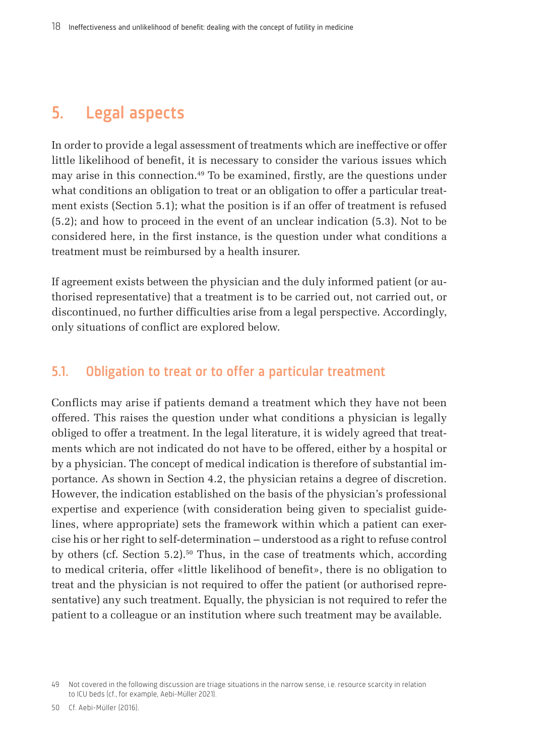## <span id="page-17-0"></span>5. Legal aspects

In order to provide a legal assessment of treatments which are ineffective or offer little likelihood of benefit, it is necessary to consider the various issues which may arise in this connection.49 To be examined, firstly, are the questions under what conditions an obligation to treat or an obligation to offer a particular treatment exists (Section 5.1); what the position is if an offer of treatment is refused (5.2); and how to proceed in the event of an unclear indication (5.3). Not to be considered here, in the first instance, is the question under what conditions a treatment must be reimbursed by a health insurer.

If agreement exists between the physician and the duly informed patient (or authorised representative) that a treatment is to be carried out, not carried out, or discontinued, no further difficulties arise from a legal perspective. Accordingly, only situations of conflict are explored below.

#### 5.1. Obligation to treat or to offer a particular treatment

Conflicts may arise if patients demand a treatment which they have not been offered. This raises the question under what conditions a physician is legally obliged to offer a treatment. In the legal literature, it is widely agreed that treatments which are not indicated do not have to be offered, either by a hospital or by a physician. The concept of medical indication is therefore of substantial importance. As shown in Section 4.2, the physician retains a degree of discretion. However, the indication established on the basis of the physician's professional expertise and experience (with consideration being given to specialist guidelines, where appropriate) sets the framework within which a patient can exercise his or her right to self-determination – understood as a right to refuse control by others (cf. Section 5.2).<sup>50</sup> Thus, in the case of treatments which, according to medical criteria, offer «little likelihood of benefit», there is no obligation to treat and the physician is not required to offer the patient (or authorised representative) any such treatment. Equally, the physician is not required to refer the patient to a colleague or an institution where such treatment may be available.

<sup>49</sup> Not covered in the following discussion are triage situations in the narrow sense, i.e. resource scarcity in relation to ICU beds (cf., for example, Aebi-Müller 2021).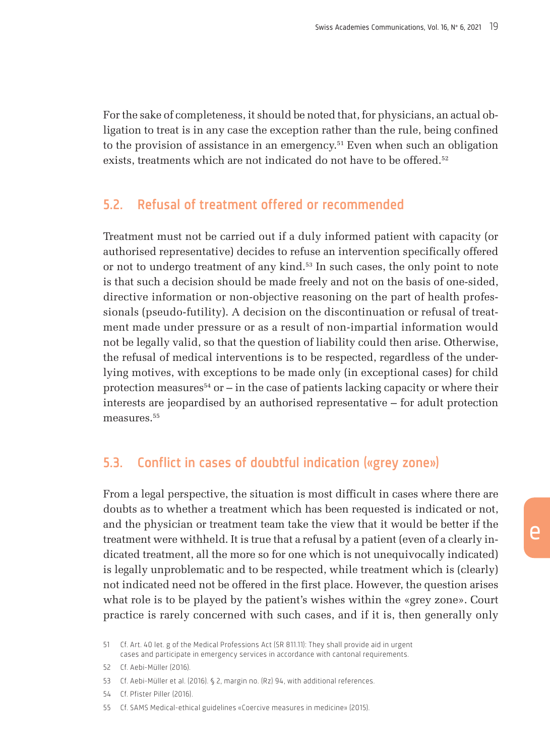For the sake of completeness, it should be noted that, for physicians, an actual obligation to treat is in any case the exception rather than the rule, being confined to the provision of assistance in an emergency.51 Even when such an obligation exists, treatments which are not indicated do not have to be offered.<sup>52</sup>

#### 5.2. Refusal of treatment offered or recommended

Treatment must not be carried out if a duly informed patient with capacity (or authorised representative) decides to refuse an intervention specifically offered or not to undergo treatment of any kind.53 In such cases, the only point to note is that such a decision should be made freely and not on the basis of one-sided, directive information or non-objective reasoning on the part of health professionals (pseudo-futility). A decision on the discontinuation or refusal of treatment made under pressure or as a result of non-impartial information would not be legally valid, so that the question of liability could then arise. Otherwise, the refusal of medical interventions is to be respected, regardless of the underlying motives, with exceptions to be made only (in exceptional cases) for child protection measures<sup>54</sup> or  $-$  in the case of patients lacking capacity or where their interests are jeopardised by an authorised representative – for adult protection measures.<sup>55</sup>

## 5.3. Conflict in cases of doubtful indication («grey zone»)

From a legal perspective, the situation is most difficult in cases where there are doubts as to whether a treatment which has been requested is indicated or not, and the physician or treatment team take the view that it would be better if the treatment were withheld. It is true that a refusal by a patient (even of a clearly indicated treatment, all the more so for one which is not unequivocally indicated) is legally unproblematic and to be respected, while treatment which is (clearly) not indicated need not be offered in the first place. However, the question arises what role is to be played by the patient's wishes within the «grey zone». Court practice is rarely concerned with such cases, and if it is, then generally only

<sup>51</sup> Cf. Art. 40 let. g of the Medical Professions Act (SR 811.11): They shall provide aid in urgent cases and participate in emergency services in accordance with cantonal requirements.

<sup>52</sup> Cf. Aebi-Müller (2016).

<sup>53</sup> Cf. Aebi-Müller et al. (2016). § 2, margin no. (Rz) 94, with additional references.

<sup>54</sup> Cf. Pfister Piller (2016).

<sup>55</sup> Cf. SAMS Medical-ethical guidelines «Coercive measures in medicine» (2015).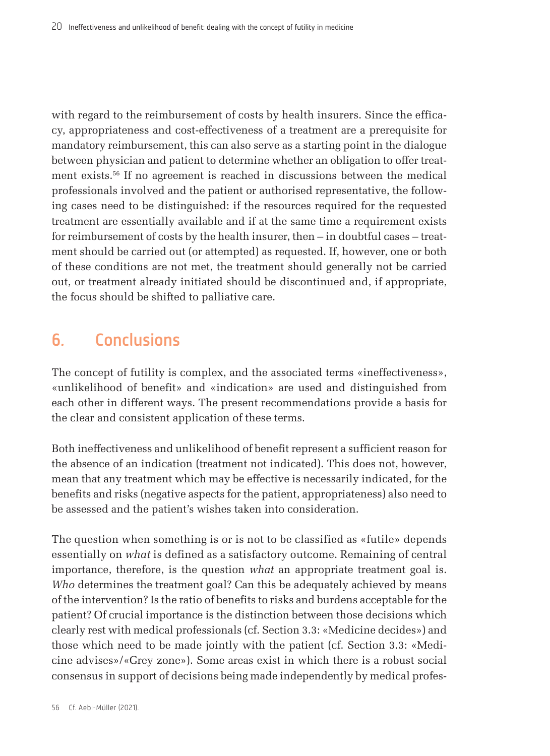<span id="page-19-0"></span>with regard to the reimbursement of costs by health insurers. Since the efficacy, appropriateness and cost-effectiveness of a treatment are a prerequisite for mandatory reimbursement, this can also serve as a starting point in the dialogue between physician and patient to determine whether an obligation to offer treatment exists.56 If no agreement is reached in discussions between the medical professionals involved and the patient or authorised representative, the following cases need to be distinguished: if the resources required for the requested treatment are essentially available and if at the same time a requirement exists for reimbursement of costs by the health insurer, then – in doubtful cases – treatment should be carried out (or attempted) as requested. If, however, one or both of these conditions are not met, the treatment should generally not be carried out, or treatment already initiated should be discontinued and, if appropriate, the focus should be shifted to palliative care.

## 6. Conclusions

The concept of futility is complex, and the associated terms «ineffectiveness», «unlikelihood of benefit» and «indication» are used and distinguished from each other in different ways. The present recommendations provide a basis for the clear and consistent application of these terms.

Both ineffectiveness and unlikelihood of benefit represent a sufficient reason for the absence of an indication (treatment not indicated). This does not, however, mean that any treatment which may be effective is necessarily indicated, for the benefits and risks (negative aspects for the patient, appropriateness) also need to be assessed and the patient's wishes taken into consideration.

The question when something is or is not to be classified as «futile» depends essentially on *what* is defined as a satisfactory outcome. Remaining of central importance, therefore, is the question *what* an appropriate treatment goal is. *Who* determines the treatment goal? Can this be adequately achieved by means of the intervention? Is the ratio of benefits to risks and burdens acceptable for the patient? Of crucial importance is the distinction between those decisions which clearly rest with medical professionals (cf. Section 3.3: «Medicine decides») and those which need to be made jointly with the patient (cf. Section 3.3: «Medicine advises»/«Grey zone»). Some areas exist in which there is a robust social consensus in support of decisions being made independently by medical profes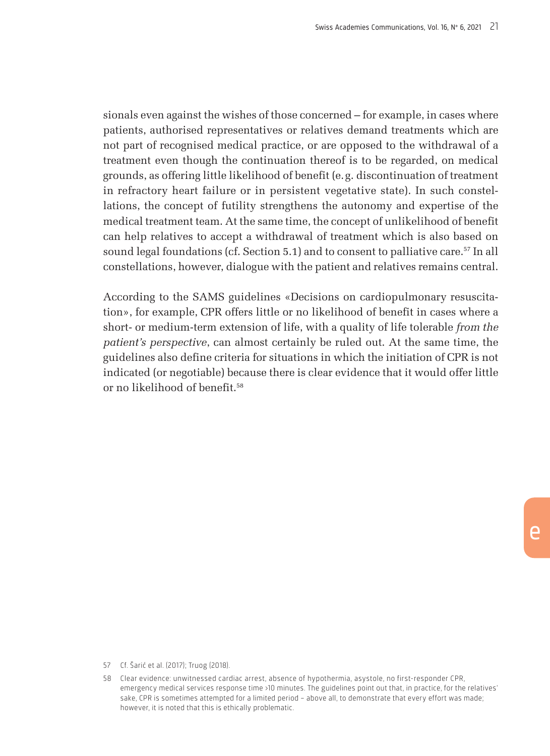sionals even against the wishes of those concerned – for example, in cases where patients, authorised representatives or relatives demand treatments which are not part of recognised medical practice, or are opposed to the withdrawal of a treatment even though the continuation thereof is to be regarded, on medical grounds, as offering little likelihood of benefit (e.g. discontinuation of treatment in refractory heart failure or in persistent vegetative state). In such constellations, the concept of futility strengthens the autonomy and expertise of the medical treatment team. At the same time, the concept of unlikelihood of benefit can help relatives to accept a withdrawal of treatment which is also based on sound legal foundations (cf. Section 5.1) and to consent to palliative care.57 In all constellations, however, dialogue with the patient and relatives remains central.

According to the SAMS guidelines «Decisions on cardiopulmonary resuscitation», for example, CPR offers little or no likelihood of benefit in cases where a short- or medium-term extension of life, with a quality of life tolerable *from the patient's perspective*, can almost certainly be ruled out. At the same time, the guidelines also define criteria for situations in which the initiation of CPR is not indicated (or negotiable) because there is clear evidence that it would offer little or no likelihood of benefit.<sup>58</sup>

<sup>57</sup> Cf. Šarić et al. (2017); Truog (2018).

<sup>58</sup> Clear evidence: unwitnessed cardiac arrest, absence of hypothermia, asystole, no first-responder CPR, emergency medical services response time >10 minutes. The guidelines point out that, in practice, for the relatives' sake, CPR is sometimes attempted for a limited period – above all, to demonstrate that every effort was made; however, it is noted that this is ethically problematic.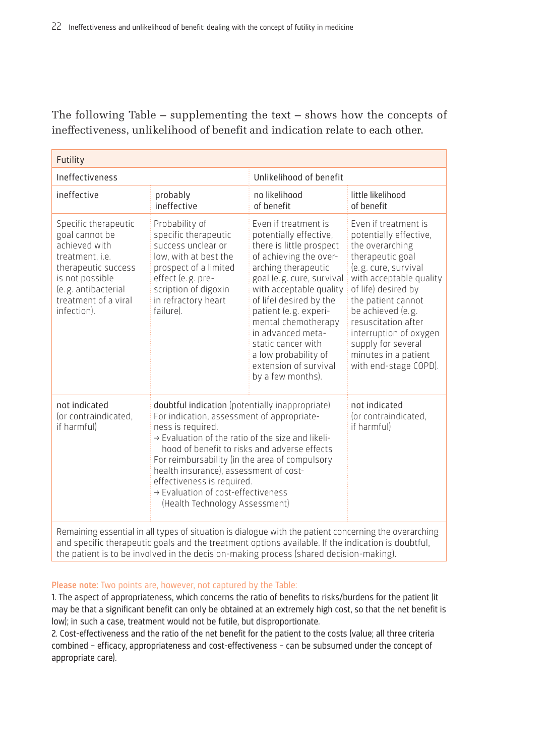The following Table – supplementing the text – shows how the concepts of ineffectiveness, unlikelihood of benefit and indication relate to each other.

| Futility                                                                                                                                                                                  |                                                                                                                                                                                                                                                                                                                                                                                                                                       |                                                                                                                                                                                                                                                                                                                                                                                 |                                                                                                                                                                                                                                                                                                                                    |  |  |  |
|-------------------------------------------------------------------------------------------------------------------------------------------------------------------------------------------|---------------------------------------------------------------------------------------------------------------------------------------------------------------------------------------------------------------------------------------------------------------------------------------------------------------------------------------------------------------------------------------------------------------------------------------|---------------------------------------------------------------------------------------------------------------------------------------------------------------------------------------------------------------------------------------------------------------------------------------------------------------------------------------------------------------------------------|------------------------------------------------------------------------------------------------------------------------------------------------------------------------------------------------------------------------------------------------------------------------------------------------------------------------------------|--|--|--|
| Ineffectiveness                                                                                                                                                                           |                                                                                                                                                                                                                                                                                                                                                                                                                                       | Unlikelihood of benefit                                                                                                                                                                                                                                                                                                                                                         |                                                                                                                                                                                                                                                                                                                                    |  |  |  |
| ineffective                                                                                                                                                                               | probably<br>ineffective                                                                                                                                                                                                                                                                                                                                                                                                               | no likelihood<br>of benefit                                                                                                                                                                                                                                                                                                                                                     | little likelihood<br>of benefit                                                                                                                                                                                                                                                                                                    |  |  |  |
| Specific therapeutic<br>goal cannot be<br>achieved with<br>treatment. <i>i.e.</i><br>therapeutic success<br>is not possible<br>(e.g. antibacterial<br>treatment of a viral<br>infection). | Probability of<br>specific therapeutic<br>success unclear or<br>low, with at best the<br>prospect of a limited<br>effect (e.g. pre-<br>scription of digoxin<br>in refractory heart<br>failure).                                                                                                                                                                                                                                       | Even if treatment is<br>potentially effective,<br>there is little prospect<br>of achieving the over-<br>arching therapeutic<br>goal (e.g. cure, survival<br>with acceptable quality<br>of life) desired by the<br>patient (e.g. experi-<br>mental chemotherapy<br>in advanced meta-<br>static cancer with<br>a low probability of<br>extension of survival<br>by a few months). | Fven if treatment is<br>potentially effective,<br>the overarching<br>therapeutic goal<br>(e.g. cure, survival<br>with acceptable quality<br>of life) desired by<br>the patient cannot<br>be achieved (e.g.<br>resuscitation after<br>interruption of oxygen<br>supply for several<br>minutes in a patient<br>with end-stage COPD). |  |  |  |
| not indicated<br>(or contraindicated,<br>if harmful)                                                                                                                                      | doubtful indication (potentially inappropriate)<br>For indication, assessment of appropriate-<br>ness is required.<br>$\rightarrow$ Evaluation of the ratio of the size and likeli-<br>hood of benefit to risks and adverse effects<br>For reimbursability (in the area of compulsory<br>health insurance), assessment of cost-<br>effectiveness is required.<br>→ Evaluation of cost-effectiveness<br>(Health Technology Assessment) | not indicated<br>(or contraindicated,<br>if harmful)                                                                                                                                                                                                                                                                                                                            |                                                                                                                                                                                                                                                                                                                                    |  |  |  |
| Remaining essential in all types of situation is dialogue with the patient concerning the overarching                                                                                     |                                                                                                                                                                                                                                                                                                                                                                                                                                       |                                                                                                                                                                                                                                                                                                                                                                                 |                                                                                                                                                                                                                                                                                                                                    |  |  |  |

Remaining essential in all types of situation is dialogue with the patient concerning the overarching and specific therapeutic goals and the treatment options available. If the indication is doubtful, the patient is to be involved in the decision-making process (shared decision-making).

#### Please note: Two points are, however, not captured by the Table:

1. The aspect of appropriateness, which concerns the ratio of benefits to risks/burdens for the patient (it may be that a significant benefit can only be obtained at an extremely high cost, so that the net benefit is low); in such a case, treatment would not be futile, but disproportionate.

2. Cost-effectiveness and the ratio of the net benefit for the patient to the costs (value; all three criteria combined – efficacy, appropriateness and cost-effectiveness – can be subsumed under the concept of appropriate care).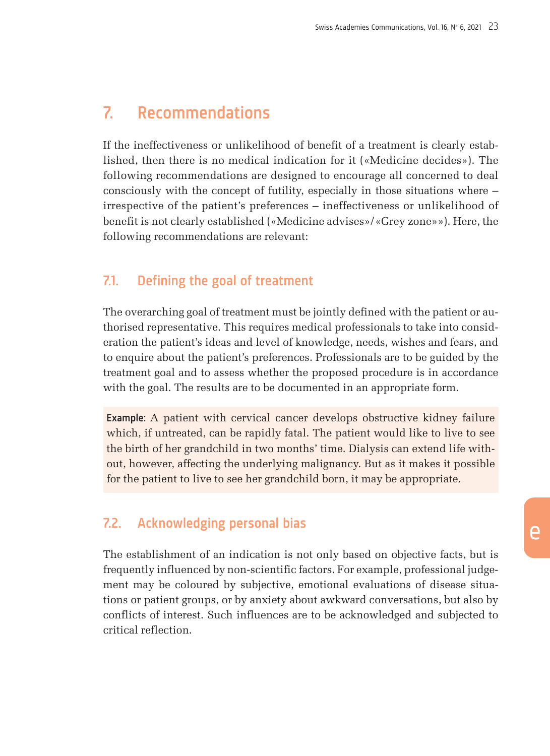## <span id="page-22-0"></span>7. Recommendations

If the ineffectiveness or unlikelihood of benefit of a treatment is clearly established, then there is no medical indication for it («Medicine decides»). The following recommendations are designed to encourage all concerned to deal consciously with the concept of futility, especially in those situations where – irrespective of the patient's preferences – ineffectiveness or unlikelihood of benefit is not clearly established («Medicine advises»/«Grey zone»»). Here, the following recommendations are relevant:

### 7.1. Defining the goal of treatment

The overarching goal of treatment must be jointly defined with the patient or authorised representative. This requires medical professionals to take into consideration the patient's ideas and level of knowledge, needs, wishes and fears, and to enquire about the patient's preferences. Professionals are to be guided by the treatment goal and to assess whether the proposed procedure is in accordance with the goal. The results are to be documented in an appropriate form.

Example: A patient with cervical cancer develops obstructive kidney failure which, if untreated, can be rapidly fatal. The patient would like to live to see the birth of her grandchild in two months' time. Dialysis can extend life without, however, affecting the underlying malignancy. But as it makes it possible for the patient to live to see her grandchild born, it may be appropriate.

### 7.2. Acknowledging personal bias

The establishment of an indication is not only based on objective facts, but is frequently influenced by non-scientific factors. For example, professional judgement may be coloured by subjective, emotional evaluations of disease situations or patient groups, or by anxiety about awkward conversations, but also by conflicts of interest. Such influences are to be acknowledged and subjected to critical reflection.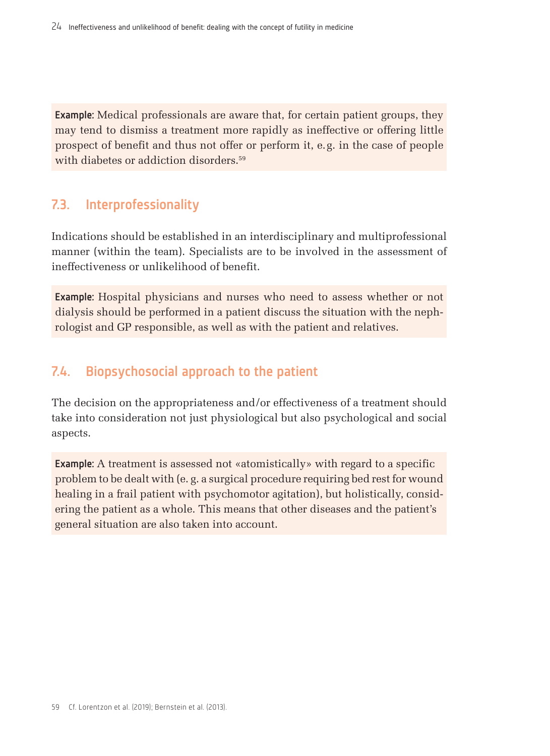Example: Medical professionals are aware that, for certain patient groups, they may tend to dismiss a treatment more rapidly as ineffective or offering little prospect of benefit and thus not offer or perform it, e.g. in the case of people with diabetes or addiction disorders.<sup>59</sup>

### 7.3. Interprofessionality

Indications should be established in an interdisciplinary and multiprofessional manner (within the team). Specialists are to be involved in the assessment of ineffectiveness or unlikelihood of benefit.

Example: Hospital physicians and nurses who need to assess whether or not dialysis should be performed in a patient discuss the situation with the nephrologist and GP responsible, as well as with the patient and relatives.

### 7.4. Biopsychosocial approach to the patient

The decision on the appropriateness and/or effectiveness of a treatment should take into consideration not just physiological but also psychological and social aspects.

Example: A treatment is assessed not «atomistically» with regard to a specific problem to be dealt with (e. g. a surgical procedure requiring bed rest for wound healing in a frail patient with psychomotor agitation), but holistically, considering the patient as a whole. This means that other diseases and the patient's general situation are also taken into account.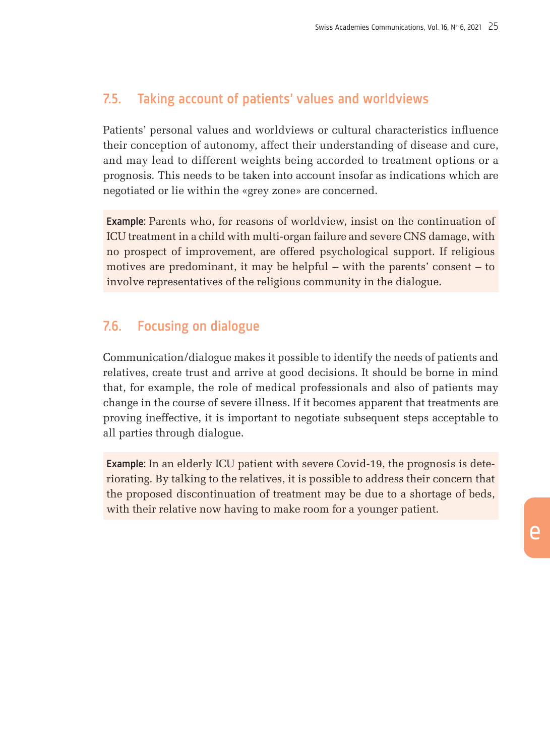### 7.5. Taking account of patients' values and worldviews

Patients' personal values and worldviews or cultural characteristics influence their conception of autonomy, affect their understanding of disease and cure, and may lead to different weights being accorded to treatment options or a prognosis. This needs to be taken into account insofar as indications which are negotiated or lie within the «grey zone» are concerned.

Example: Parents who, for reasons of worldview, insist on the continuation of ICU treatment in a child with multi-organ failure and severe CNS damage, with no prospect of improvement, are offered psychological support. If religious motives are predominant, it may be helpful – with the parents' consent – to involve representatives of the religious community in the dialogue.

#### 7.6. Focusing on dialogue

Communication/dialogue makes it possible to identify the needs of patients and relatives, create trust and arrive at good decisions. It should be borne in mind that, for example, the role of medical professionals and also of patients may change in the course of severe illness. If it becomes apparent that treatments are proving ineffective, it is important to negotiate subsequent steps acceptable to all parties through dialogue.

Example: In an elderly ICU patient with severe Covid-19, the prognosis is deteriorating. By talking to the relatives, it is possible to address their concern that the proposed discontinuation of treatment may be due to a shortage of beds, with their relative now having to make room for a younger patient.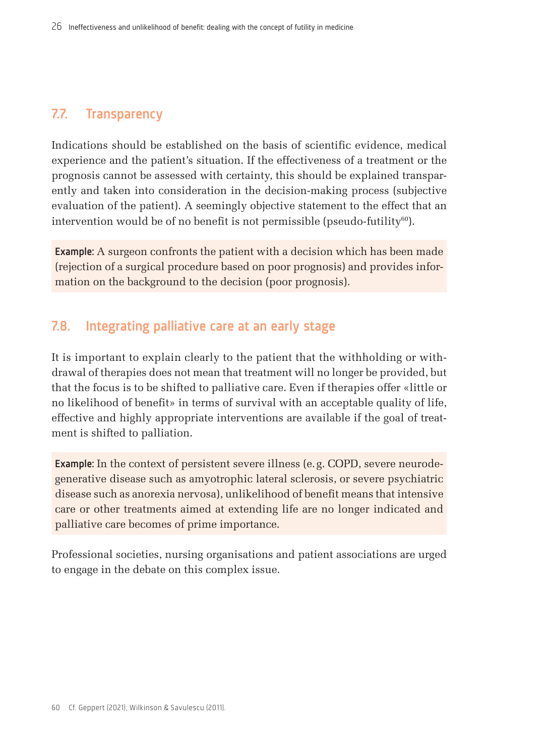## 7.7. Transparency

Indications should be established on the basis of scientific evidence, medical experience and the patient's situation. If the effectiveness of a treatment or the prognosis cannot be assessed with certainty, this should be explained transparently and taken into consideration in the decision-making process (subjective evaluation of the patient). A seemingly objective statement to the effect that an intervention would be of no benefit is not permissible (pseudo-futility $^{60}$ ).

Example: A surgeon confronts the patient with a decision which has been made (rejection of a surgical procedure based on poor prognosis) and provides information on the background to the decision (poor prognosis).

## 7.8. Integrating palliative care at an early stage

It is important to explain clearly to the patient that the withholding or withdrawal of therapies does not mean that treatment will no longer be provided, but that the focus is to be shifted to palliative care. Even if therapies offer «little or no likelihood of benefit» in terms of survival with an acceptable quality of life, effective and highly appropriate interventions are available if the goal of treatment is shifted to palliation.

Example: In the context of persistent severe illness (e.g. COPD, severe neurodegenerative disease such as amyotrophic lateral sclerosis, or severe psychiatric disease such as anorexia nervosa), unlikelihood of benefit means that intensive care or other treatments aimed at extending life are no longer indicated and palliative care becomes of prime importance.

Professional societies, nursing organisations and patient associations are urged to engage in the debate on this complex issue.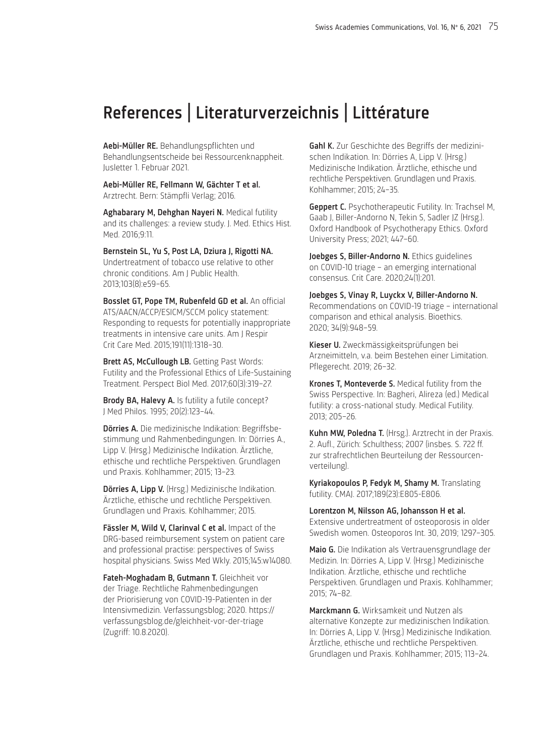## <span id="page-26-0"></span>References | Literaturverzeichnis | Littérature

Aebi-Müller RE. Behandlungspflichten und Behandlungsentscheide bei Ressourcenknappheit. Jusletter 1. Februar 2021.

Aebi-Müller RE, Fellmann W, Gächter T et al. Arztrecht. Bern: Stämpfli Verlag; 2016.

Aghabarary M, Dehghan Nayeri N. Medical futility and its challenges: a review study. J. Med. Ethics Hist. Med. 2016;9:11.

Bernstein SL, Yu S, Post LA, Dziura J, Rigotti NA. Undertreatment of tobacco use relative to other chronic conditions. Am J Public Health. 2013;103(8):e59–65.

Bosslet GT, Pope TM, Rubenfeld GD et al. An official ATS/AACN/ACCP/ESICM/SCCM policy statement: Responding to requests for potentially inappropriate treatments in intensive care units. Am J Respir Crit Care Med. 2015;191(11):1318–30.

Brett AS, McCullough LB. Getting Past Words: Futility and the Professional Ethics of Life-Sustaining Treatment. Perspect Biol Med. 2017;60(3):319–27.

Brody BA, Halevy A. Is futility a futile concept? J Med Philos. 1995; 20(2):123–44.

Dörries A. Die medizinische Indikation: Begriffsbestimmung und Rahmenbedingungen. In: Dörries A., Lipp V. (Hrsg.) Medizinische Indikation. Ärztliche, ethische und rechtliche Perspektiven. Grundlagen und Praxis. Kohlhammer; 2015; 13–23.

Dörries A, Lipp V. (Hrsg.) Medizinische Indikation. Ärztliche, ethische und rechtliche Perspektiven. Grundlagen und Praxis. Kohlhammer; 2015.

Fässler M, Wild V, Clarinval C et al. Impact of the DRG-based reimbursement system on patient care and professional practise: perspectives of Swiss hospital physicians. Swiss Med Wkly. 2015;145:w14080.

Fateh-Moghadam B, Gutmann T. Gleichheit vor der Triage. Rechtliche Rahmenbedingungen der Priorisierung von COVID-19-Patienten in der Intensivmedizin. Verfassungsblog; 2020. https:// verfassungsblog.de/gleichheit-vor-der-triage (Zugriff: 10.8.2020).

Gahl K. Zur Geschichte des Begriffs der medizinischen Indikation. In: Dörries A, Lipp V. (Hrsg.) Medizinische Indikation. Ärztliche, ethische und rechtliche Perspektiven. Grundlagen und Praxis. Kohlhammer; 2015; 24–35.

**Geppert C.** Psychotherapeutic Futility. In: Trachsel M. Gaab J, Biller-Andorno N, Tekin S, Sadler JZ (Hrsg.). Oxford Handbook of Psychotherapy Ethics. Oxford University Press; 2021; 447–60.

Joebges S, Biller-Andorno N. Ethics guidelines on COVID-10 triage – an emerging international consensus. Crit Care. 2020;24(1):201.

Joebges S, Vinay R, Luyckx V, Biller-Andorno N. Recommendations on COVID-19 triage – international comparison and ethical analysis. Bioethics. 2020; 34(9):948–59.

Kieser U. Zweckmässigkeitsprüfungen bei Arzneimitteln, v.a. beim Bestehen einer Limitation. Pflegerecht. 2019; 26–32.

Krones T, Monteverde S. Medical futility from the Swiss Perspective. In: Bagheri, Alireza (ed.) Medical futility: a cross-national study. Medical Futility. 2013; 205–26.

Kuhn MW, Poledna T. (Hrsg.). Arztrecht in der Praxis. 2. Aufl., Zürich: Schulthess; 2007 (insbes. S. 722 ff. zur strafrechtlichen Beurteilung der Ressourcenverteilung).

Kyriakopoulos P, Fedyk M, Shamy M. Translating futility. CMAJ. 2017;189(23):E805-E806.

Lorentzon M, Nilsson AG, Johansson H et al. Extensive undertreatment of osteoporosis in older Swedish women. Osteoporos Int. 30, 2019; 1297–305.

Maio G. Die Indikation als Vertrauensgrundlage der Medizin. In: Dörries A, Lipp V. (Hrsg.) Medizinische Indikation. Ärztliche, ethische und rechtliche Perspektiven. Grundlagen und Praxis. Kohlhammer; 2015; 74–82.

Marckmann G. Wirksamkeit und Nutzen als alternative Konzepte zur medizinischen Indikation. In: Dörries A, Lipp V. (Hrsg.) Medizinische Indikation. Ärztliche, ethische und rechtliche Perspektiven. Grundlagen und Praxis. Kohlhammer; 2015; 113–24.